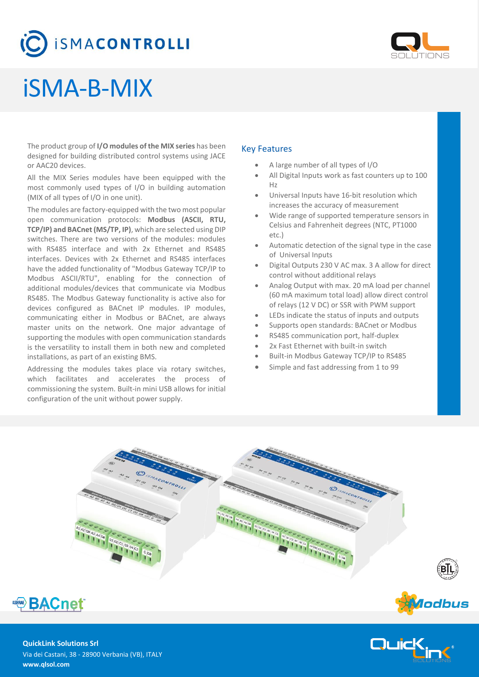# **SMACONTROLLI**



# iSMA-B-MIX

The product group of **I/O modules of the MIX series** has been designed for building distributed control systems using JACE or AAC20 devices.

All the MIX Series modules have been equipped with the most commonly used types of I/O in building automation (MIX of all types of I/O in one unit).

The modules are factory-equipped with the two most popular open communication protocols: **Modbus (ASCII, RTU, TCP/IP) and BACnet (MS/TP, IP)**, which are selected using DIP switches. There are two versions of the modules: modules with RS485 interface and with 2x Ethernet and RS485 interfaces. Devices with 2x Ethernet and RS485 interfaces have the added functionality of "Modbus Gateway TCP/IP to Modbus ASCII/RTU", enabling for the connection of additional modules/devices that communicate via Modbus RS485. The Modbus Gateway functionality is active also for devices configured as BACnet IP modules. IP modules, communicating either in Modbus or BACnet, are always master units on the network. One major advantage of supporting the modules with open communication standards is the versatility to install them in both new and completed installations, as part of an existing BMS.

Addressing the modules takes place via rotary switches, which facilitates and accelerates the process of commissioning the system. Built-in mini USB allows for initial configuration of the unit without power supply.

### Key Features

- A large number of all types of I/O
- All Digital Inputs work as fast counters up to 100 Hz
- Universal Inputs have 16-bit resolution which increases the accuracy of measurement
- Wide range of supported temperature sensors in Celsius and Fahrenheit degrees (NTC, PT1000 etc.)
- Automatic detection of the signal type in the case of Universal Inputs
- Digital Outputs 230 V AC max. 3 A allow for direct control without additional relays
- Analog Output with max. 20 mA load per channel (60 mA maximum total load) allow direct control of relays (12 V DC) or SSR with PWM support
- LEDs indicate the status of inputs and outputs
- Supports open standards: BACnet or Modbus
- RS485 communication port, half-duplex
- 2x Fast Ethernet with built-in switch
- Built-in Modbus Gateway TCP/IP to RS485
- Simple and fast addressing from 1 to 99





**QuickLink Solutions Srl** Via dei Castani, 38 - 28900 Verbania (VB), ITALY **www.qlsol.com**



*Aodbus*